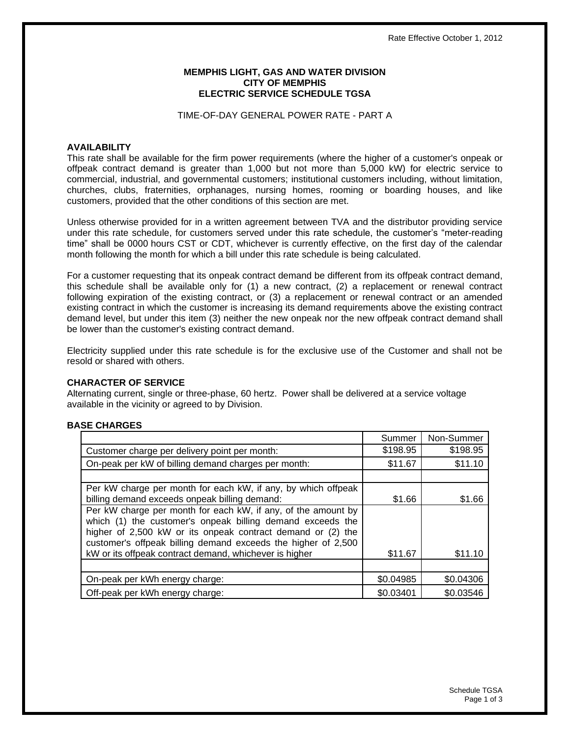# **MEMPHIS LIGHT, GAS AND WATER DIVISION CITY OF MEMPHIS ELECTRIC SERVICE SCHEDULE TGSA**

#### TIME-OF-DAY GENERAL POWER RATE - PART A

#### **AVAILABILITY**

This rate shall be available for the firm power requirements (where the higher of a customer's onpeak or offpeak contract demand is greater than 1,000 but not more than 5,000 kW) for electric service to commercial, industrial, and governmental customers; institutional customers including, without limitation, churches, clubs, fraternities, orphanages, nursing homes, rooming or boarding houses, and like customers, provided that the other conditions of this section are met.

Unless otherwise provided for in a written agreement between TVA and the distributor providing service under this rate schedule, for customers served under this rate schedule, the customer's "meter-reading time" shall be 0000 hours CST or CDT, whichever is currently effective, on the first day of the calendar month following the month for which a bill under this rate schedule is being calculated.

For a customer requesting that its onpeak contract demand be different from its offpeak contract demand, this schedule shall be available only for (1) a new contract, (2) a replacement or renewal contract following expiration of the existing contract, or (3) a replacement or renewal contract or an amended existing contract in which the customer is increasing its demand requirements above the existing contract demand level, but under this item (3) neither the new onpeak nor the new offpeak contract demand shall be lower than the customer's existing contract demand.

Electricity supplied under this rate schedule is for the exclusive use of the Customer and shall not be resold or shared with others.

#### **CHARACTER OF SERVICE**

Alternating current, single or three-phase, 60 hertz. Power shall be delivered at a service voltage available in the vicinity or agreed to by Division.

## **BASE CHARGES**

|                                                                                                                                                                                                                                                             | Summer    | Non-Summer |
|-------------------------------------------------------------------------------------------------------------------------------------------------------------------------------------------------------------------------------------------------------------|-----------|------------|
| Customer charge per delivery point per month:                                                                                                                                                                                                               | \$198.95  | \$198.95   |
| On-peak per kW of billing demand charges per month:                                                                                                                                                                                                         | \$11.67   | \$11.10    |
|                                                                                                                                                                                                                                                             |           |            |
| Per kW charge per month for each kW, if any, by which offpeak<br>billing demand exceeds onpeak billing demand:                                                                                                                                              | \$1.66    | \$1.66     |
| Per kW charge per month for each kW, if any, of the amount by<br>which (1) the customer's onpeak billing demand exceeds the<br>higher of 2,500 kW or its onpeak contract demand or (2) the<br>customer's offpeak billing demand exceeds the higher of 2,500 |           |            |
| kW or its offpeak contract demand, whichever is higher                                                                                                                                                                                                      | \$11.67   | \$11.10    |
|                                                                                                                                                                                                                                                             |           |            |
| On-peak per kWh energy charge:                                                                                                                                                                                                                              | \$0.04985 | \$0.04306  |
| Off-peak per kWh energy charge:                                                                                                                                                                                                                             | \$0.03401 | \$0.03546  |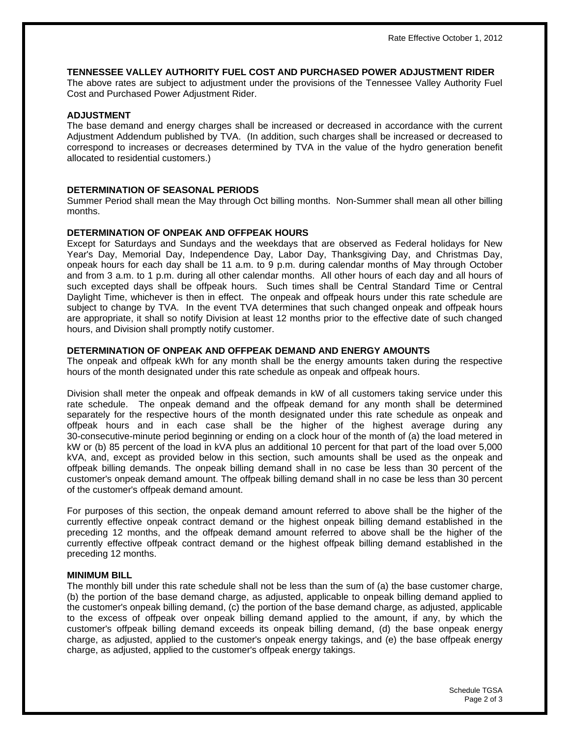# **TENNESSEE VALLEY AUTHORITY FUEL COST AND PURCHASED POWER ADJUSTMENT RIDER**

The above rates are subject to adjustment under the provisions of the Tennessee Valley Authority Fuel Cost and Purchased Power Adjustment Rider.

# **ADJUSTMENT**

The base demand and energy charges shall be increased or decreased in accordance with the current Adjustment Addendum published by TVA. (In addition, such charges shall be increased or decreased to correspond to increases or decreases determined by TVA in the value of the hydro generation benefit allocated to residential customers.)

# **DETERMINATION OF SEASONAL PERIODS**

Summer Period shall mean the May through Oct billing months. Non-Summer shall mean all other billing months.

## **DETERMINATION OF ONPEAK AND OFFPEAK HOURS**

Except for Saturdays and Sundays and the weekdays that are observed as Federal holidays for New Year's Day, Memorial Day, Independence Day, Labor Day, Thanksgiving Day, and Christmas Day, onpeak hours for each day shall be 11 a.m. to 9 p.m. during calendar months of May through October and from 3 a.m. to 1 p.m. during all other calendar months. All other hours of each day and all hours of such excepted days shall be offpeak hours. Such times shall be Central Standard Time or Central Daylight Time, whichever is then in effect. The onpeak and offpeak hours under this rate schedule are subject to change by TVA. In the event TVA determines that such changed onpeak and offpeak hours are appropriate, it shall so notify Division at least 12 months prior to the effective date of such changed hours, and Division shall promptly notify customer.

# **DETERMINATION OF ONPEAK AND OFFPEAK DEMAND AND ENERGY AMOUNTS**

The onpeak and offpeak kWh for any month shall be the energy amounts taken during the respective hours of the month designated under this rate schedule as onpeak and offpeak hours.

Division shall meter the onpeak and offpeak demands in kW of all customers taking service under this rate schedule. The onpeak demand and the offpeak demand for any month shall be determined separately for the respective hours of the month designated under this rate schedule as onpeak and offpeak hours and in each case shall be the higher of the highest average during any 30-consecutive-minute period beginning or ending on a clock hour of the month of (a) the load metered in kW or (b) 85 percent of the load in kVA plus an additional 10 percent for that part of the load over 5,000 kVA, and, except as provided below in this section, such amounts shall be used as the onpeak and offpeak billing demands. The onpeak billing demand shall in no case be less than 30 percent of the customer's onpeak demand amount. The offpeak billing demand shall in no case be less than 30 percent of the customer's offpeak demand amount.

For purposes of this section, the onpeak demand amount referred to above shall be the higher of the currently effective onpeak contract demand or the highest onpeak billing demand established in the preceding 12 months, and the offpeak demand amount referred to above shall be the higher of the currently effective offpeak contract demand or the highest offpeak billing demand established in the preceding 12 months.

## **MINIMUM BILL**

The monthly bill under this rate schedule shall not be less than the sum of (a) the base customer charge, (b) the portion of the base demand charge, as adjusted, applicable to onpeak billing demand applied to the customer's onpeak billing demand, (c) the portion of the base demand charge, as adjusted, applicable to the excess of offpeak over onpeak billing demand applied to the amount, if any, by which the customer's offpeak billing demand exceeds its onpeak billing demand, (d) the base onpeak energy charge, as adjusted, applied to the customer's onpeak energy takings, and (e) the base offpeak energy charge, as adjusted, applied to the customer's offpeak energy takings.